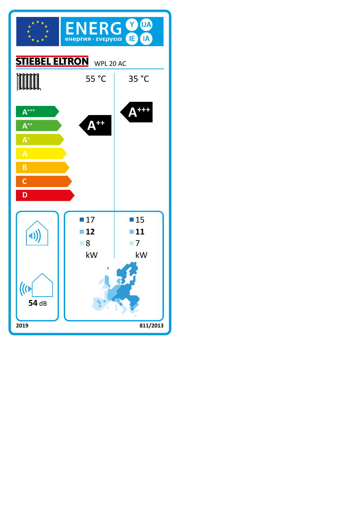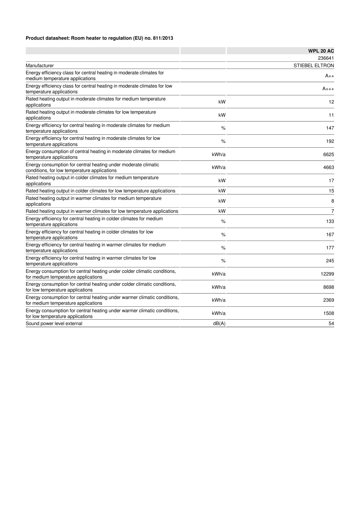## **Product datasheet: Room heater to regulation (EU) no. 811/2013**

|                                                                                                                 |       | <b>WPL 20 AC</b>      |
|-----------------------------------------------------------------------------------------------------------------|-------|-----------------------|
|                                                                                                                 |       | 236641                |
| Manufacturer                                                                                                    |       | <b>STIEBEL ELTRON</b> |
| Energy efficiency class for central heating in moderate climates for<br>medium temperature applications         |       | $A_{++}$              |
| Energy efficiency class for central heating in moderate climates for low<br>temperature applications            |       | $A_{+++}$             |
| Rated heating output in moderate climates for medium temperature<br>applications                                | kW    | 12                    |
| Rated heating output in moderate climates for low temperature<br>applications                                   | kW    | 11                    |
| Energy efficiency for central heating in moderate climates for medium<br>temperature applications               | $\%$  | 147                   |
| Energy efficiency for central heating in moderate climates for low<br>temperature applications                  | $\%$  | 192                   |
| Energy consumption of central heating in moderate climates for medium<br>temperature applications               | kWh/a | 6625                  |
| Energy consumption for central heating under moderate climatic<br>conditions, for low temperature applications  | kWh/a | 4663                  |
| Rated heating output in colder climates for medium temperature<br>applications                                  | kW    | 17                    |
| Rated heating output in colder climates for low temperature applications                                        | kW    | 15                    |
| Rated heating output in warmer climates for medium temperature<br>applications                                  | kW    | 8                     |
| Rated heating output in warmer climates for low temperature applications                                        | kW    | $\overline{7}$        |
| Energy efficiency for central heating in colder climates for medium<br>temperature applications                 | %     | 133                   |
| Energy efficiency for central heating in colder climates for low<br>temperature applications                    | $\%$  | 167                   |
| Energy efficiency for central heating in warmer climates for medium<br>temperature applications                 | %     | 177                   |
| Energy efficiency for central heating in warmer climates for low<br>temperature applications                    | $\%$  | 245                   |
| Energy consumption for central heating under colder climatic conditions,<br>for medium temperature applications | kWh/a | 12299                 |
| Energy consumption for central heating under colder climatic conditions,<br>for low temperature applications    | kWh/a | 8698                  |
| Energy consumption for central heating under warmer climatic conditions,<br>for medium temperature applications | kWh/a | 2369                  |
| Energy consumption for central heating under warmer climatic conditions,<br>for low temperature applications    | kWh/a | 1508                  |
| Sound power level external                                                                                      | dB(A) | 54                    |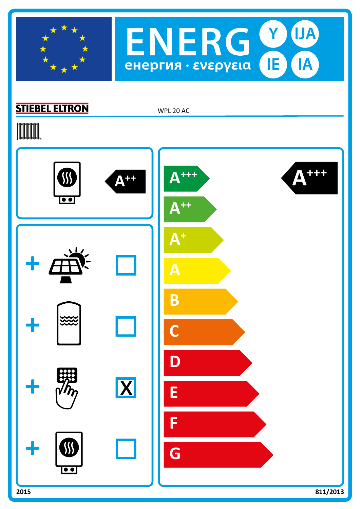



## **STIEBEL ELTRON**

WPL 20 AC

## **TOOTAL**

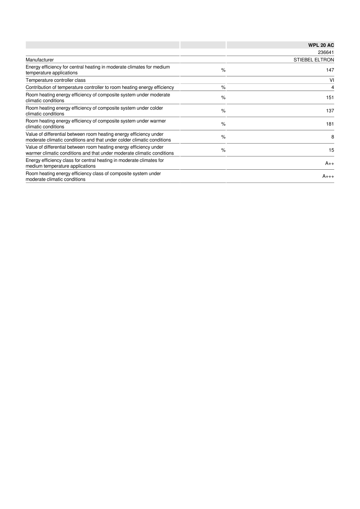|                                                                                                                                              |      | <b>WPL 20 AC</b>      |
|----------------------------------------------------------------------------------------------------------------------------------------------|------|-----------------------|
|                                                                                                                                              |      | 236641                |
| Manufacturer                                                                                                                                 |      | <b>STIEBEL ELTRON</b> |
| Energy efficiency for central heating in moderate climates for medium<br>temperature applications                                            | $\%$ | 147                   |
| Temperature controller class                                                                                                                 |      | VI                    |
| Contribution of temperature controller to room heating energy efficiency                                                                     | $\%$ | 4                     |
| Room heating energy efficiency of composite system under moderate<br>climatic conditions                                                     | $\%$ | 151                   |
| Room heating energy efficiency of composite system under colder<br>climatic conditions                                                       | $\%$ | 137                   |
| Room heating energy efficiency of composite system under warmer<br>climatic conditions                                                       | $\%$ | 181                   |
| Value of differential between room heating energy efficiency under<br>moderate climatic conditions and that under colder climatic conditions | $\%$ | 8                     |
| Value of differential between room heating energy efficiency under<br>warmer climatic conditions and that under moderate climatic conditions | $\%$ | 15                    |
| Energy efficiency class for central heating in moderate climates for<br>medium temperature applications                                      |      | $A_{++}$              |
| Room heating energy efficiency class of composite system under<br>moderate climatic conditions                                               |      | $A_{+++}$             |